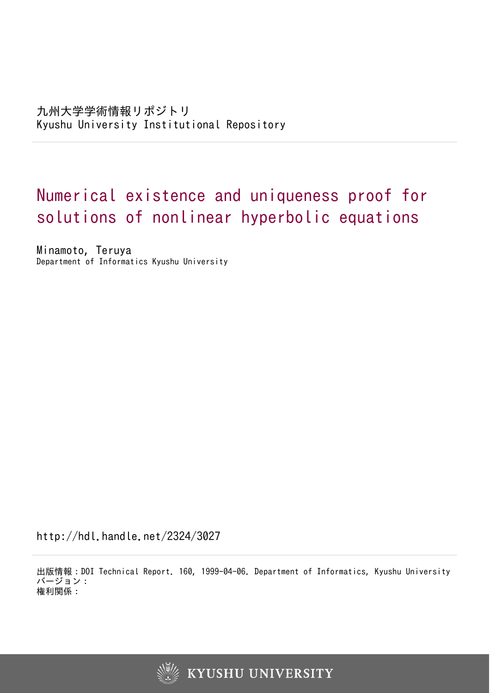## Numerical existence and uniqueness proof for solutions of nonlinear hyperbolic equations

Minamoto, Teruya Department of Informatics Kyushu University

http://hdl.handle.net/2324/3027

出版情報:DOI Technical Report. 160, 1999-04-06. Department of Informatics, Kyushu University バージョン: 権利関係:

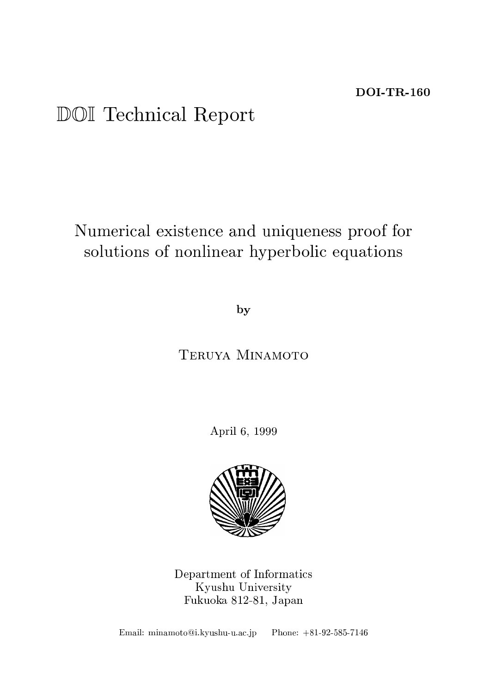# DOI Technical Report

## Numerical existence and uniqueness proof for solutions of nonlinear hyperbolic equations

by

TERUYA MINAMOTO

April 6, 1999



Department of Informatics Kyushu University Fukuoka 812-81, Japan

Email: minamoto@i.kyushu-u.ac.jp Phone: +81-92-585-7146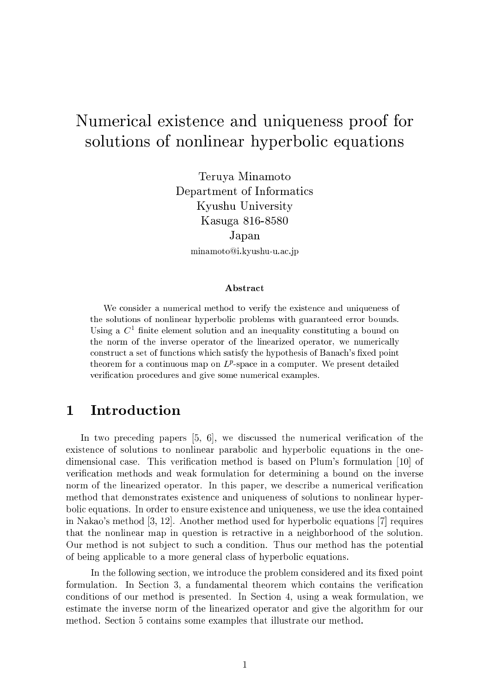## Numerical existence and uniqueness proof for solutions of nonlinear hyperbolic equations

Teruya Minamoto Department of Informatics Kyushu University Kasuga 816-8580 Japan minamoto@i.kyushu-u.ac.jp

#### Abstract

We consider a numerical method to verify the existence and uniqueness of the solutions of nonlinear hyperbolic problems with guaranteed error bounds. Using a C<sup>-</sup> innite element solution and an inequality constituting a bound on the norm of the inverse operator of the linearized operator, we numerically construct a set of functions which satisfy the hypothesis of Banach's fixed point theorem for a continuous map on  $L^p$ -space in a computer. We present detailed verification procedures and give some numerical examples.

#### Introduction  $\mathbf{1}$

In two preceding papers  $[5, 6]$ , we discussed the numerical verification of the existence of solutions to nonlinear parabolic and hyperbolic equations in the onedimensional case. This verification method is based on Plum's formulation [10] of verication methods and weak formulation for determining a bound on the inverse norm of the linearized operator. In this paper, we describe a numerical verification method that demonstrates existence and uniqueness of solutions to nonlinear hyperbolic equations. In order to ensure existence and uniqueness, we use the idea contained in Nakao's method [3, 12]. Another method used for hyperbolic equations [7] requires that the nonlinear map in question is retractive in a neighborhood of the solution. Our method is not subject to such a condition. Thus our method has the potential of being applicable to a more general class of hyperbolic equations.

In the following section, we introduce the problem considered and its fixed point formulation. In Section 3, a fundamental theorem which contains the verication conditions of our method is presented. In Section 4, using a weak formulation, we estimate the inverse norm of the linearized operator and give the algorithm for our method. Section 5 contains some examples that illustrate our method.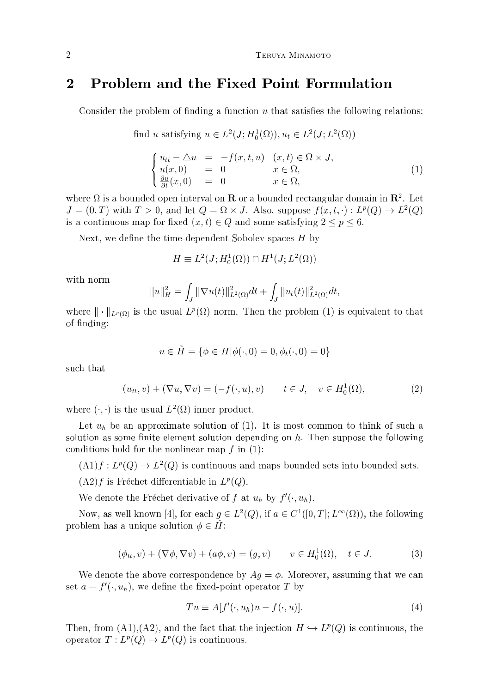### <sup>2</sup> Problem and the Fixed Point Formulation

Consider the problem of finding a function  $u$  that satisfies the following relations:

nnd u satisfying  $u \in L^2(J; H_0^1(\Omega))$ ,  $u_t \in L^2(J; L^2(\Omega))$ 

$$
\begin{cases}\n u_{tt} - \Delta u = -f(x, t, u) & (x, t) \in \Omega \times J, \\
 u(x, 0) = 0 & x \in \Omega, \\
 \frac{\partial u}{\partial t}(x, 0) = 0 & x \in \Omega,\n\end{cases}
$$
\n(1)

where  $\Omega$  is a bounded open interval on  ${\bf R}$  or a bounded rectangular domain in  ${\bf R}^+$ . Let  $J = (0, I)$  with  $I \geq 0$ , and let  $Q = \Omega \times J$ . Also, suppose  $J(x, t, \cdot) : L^2(Q) \to L^2(Q)$ is a continuous map for fixed  $(x, t) \in Q$  and some satisfying  $2 \le p \le 6$ .

Next, we define the time-dependent Sobolev spaces  $H$  by

$$
H \equiv L^2(J; H_0^1(\Omega)) \cap H^1(J; L^2(\Omega))
$$

with norm

$$
||u||_H^2 = \int_J ||\nabla u(t)||_{L^2(\Omega)}^2 dt + \int_J ||u_t(t)||_{L^2(\Omega)}^2 dt,
$$

where  $|| \cdot ||_{L^p(\Omega)}$  is the usual  $L^r(\Omega)$  norm. Then the problem (1) is equivalent to that  $\sqrt{2}$ of nding:

 $u \in \tilde{H} = \{\phi \in H | \phi(\cdot, 0) = 0, \phi_t(\cdot, 0) = 0\}$ 

such that

$$
(u_{tt}, v) + (\nabla u, \nabla v) = (-f(\cdot, u), v) \qquad t \in J, \quad v \in H_0^1(\Omega), \tag{2}
$$

where  $(\cdot, \cdot)$  is the usual  $L^-(\Omega)$  inner product.

Let  $u_h$  be an approximate solution of (1). It is most common to think of such a solution as some finite element solution depending on  $h$ . Then suppose the following conditions hold for the nonlinear map  $f$  in  $(1)$ :

 $(A1)$  :  $L^r(Q) \to L^r(Q)$  is continuous and maps bounded sets into bounded sets.

 $(A2)$  *f* is frechet differentiable in  $L^r(Q)$ .

We denote the Frechet derivative of f at  $u_h$  by  $f(\cdot, u_h)$ .

Now, as well known [4], for each  $q \in L^2(Q)$ , if  $a \in C^2([0, T]; L^2(Q))$ , the following problem has a unique solution  $\psi \in H$ .

$$
(\phi_{tt}, v) + (\nabla \phi, \nabla v) + (a\phi, v) = (g, v) \qquad v \in H_0^1(\Omega), \quad t \in J.
$$
 (3)

We denote the above correspondence by  $Ag = \phi$ . Moreover, assuming that we can set  $a = f(\cdot, u_h)$ , we define the fixed-point operator T by

$$
Tu \equiv A[f'(\cdot, u_h)u - f(\cdot, u)]. \tag{4}
$$

Then, from  $(A1), (A2),$  and the fact that the injection  $H \hookrightarrow L^r(Q)$  is continuous, the operator  $I : L^r(Q) \to L^r(Q)$  is continuous.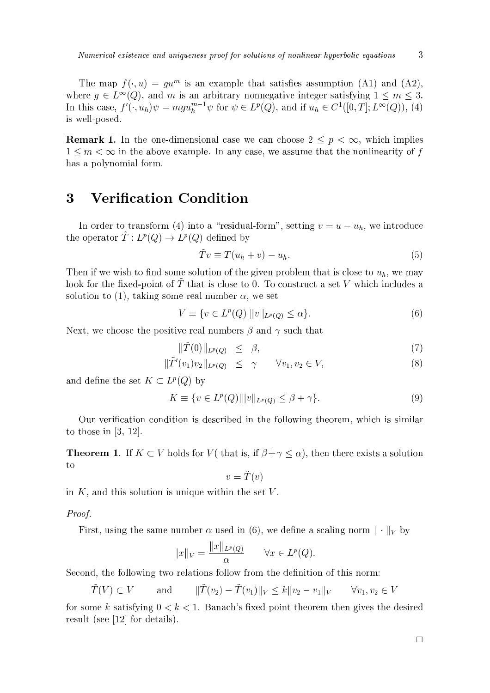The map  $f(\cdot, u) = qu$  is an example that satisfies assumption (A1) and (A2), where  $g \in L^{\infty}(Q)$ , and m is an arbitrary nonnegative integer satisfying  $1 \leq m \leq 3$ . In this case,  $f'(\cdot, u_h)\psi = mgu_h^{\tau}$  for  $\psi \in L^p(Q)$ , and if  $u_h \in C^1([0,1];L^{\infty}(Q))$ , (4) is well-posed.

**Remark 1.** In the one-dimensional case we can choose  $2 \leq p \leq \infty$ , which implies  $1 \leq m \leq \infty$  in the above example. In any case, we assume that the nonlinearity of f has a polynomial form.

## <sup>3</sup> Verication Condition

In order to transform (4) into a "residual-form", setting  $v = u - u_h$ , we introduce the operator  $I: L^{r}(Q) \to L^{r}(Q)$  defined by

$$
\tilde{T}v \equiv T(u_h + v) - u_h. \tag{5}
$$

Then if we wish to find some solution of the given problem that is close to  $u_h$ , we may from for the inter-point of  $T^{\prime}$  that is close to 0. To construct a set V which includes a solution to (1), taking some real number  $\alpha$ , we set

$$
V \equiv \{ v \in L^p(Q) \mid \quad ||v||_{L^p(Q)} \le \alpha \}. \tag{6}
$$

Next, we choose the positive real numbers  $\beta$  and  $\gamma$  such that

$$
||T(0)||_{L^p(Q)} \leq \beta,
$$
\n<sup>(7)</sup>

$$
||\dot{T}'(v_1)v_2||_{L^p(Q)} \leq \gamma \qquad \forall v_1, v_2 \in V,\tag{8}
$$

and denne the set  $K \subset L^r(Q)$  by

$$
K \equiv \{ v \in L^p(Q) \mid ||v||_{L^p(Q)} \le \beta + \gamma \}. \tag{9}
$$

Our verication condition is described in the following theorem, which is similar to those in [3, 12].

**Theorem 1.** If  $K \subset V$  holds for  $V$  (that is, if  $\beta + \gamma \leq \alpha$ ), then there exists a solution  $t_{0}$ 

$$
v=T(v)^-
$$

in  $K$ , and this solution is unique within the set  $V$ .

#### Proof.

First, using the same number  $\alpha$  used in (6), we define a scaling norm  $\|\cdot\|_V$  by

$$
||x||_V = \frac{||x||_{L^p(Q)}}{\alpha} \qquad \forall x \in L^p(Q).
$$

Second, the following two relations follow from the definition of this norm:

$$
\tilde{T}(V) \subset V \quad \text{and} \quad \|\tilde{T}(v_2) - \tilde{T}(v_1)\|_V \le k \|v_2 - v_1\|_V \quad \forall v_1, v_2 \in V
$$

for some k satisfying  $0 < k < 1$ . Banach's fixed point theorem then gives the desired result (see [12] for details).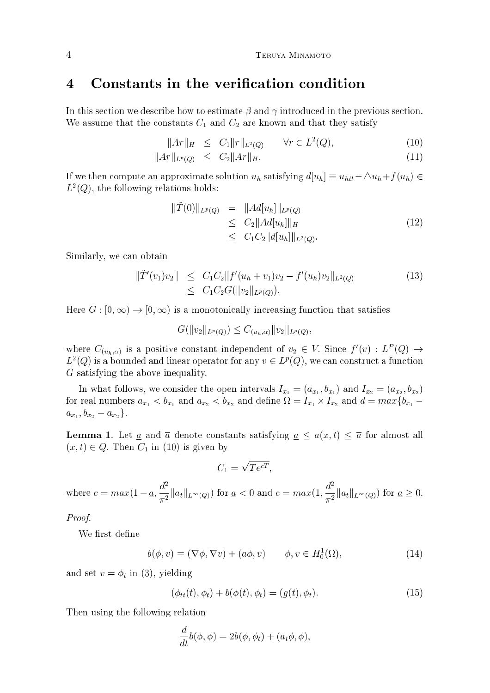### <sup>4</sup> Constants in the verication condition

In this section we describe how to estimate  $\beta$  and  $\gamma$  introduced in the previous section. We assume that the constants  $C_1$  and  $C_2$  are known and that they satisfy

$$
||Ar||_{H} \leq C_{1}||r||_{L^{2}(Q)} \qquad \forall r \in L^{2}(Q), \tag{10}
$$

$$
||Ar||_{L^{p}(Q)} \leq C_{2}||Ar||_{H}.
$$
\n(11)

If we then compute an approximate solution  $u_h$  satisfying  $d[u_h] \equiv u_{htt} - \Delta u_h + f(u_h) \in$  $L$  (Q), the following relations holds:

$$
\begin{aligned}\n\|\tilde{T}(0)\|_{L^p(Q)} &= \|Ad[u_h]\|_{L^p(Q)} \\
&\leq C_2 \|Ad[u_h]\|_H \\
&\leq C_1 C_2 \|d[u_h]\|_{L^2(Q)}.\n\end{aligned} \tag{12}
$$

Similarly, we can obtain

$$
\begin{aligned} \|\tilde{T}'(v_1)v_2\| &\leq C_1C_2\|f'(u_h+v_1)v_2 - f'(u_h)v_2\|_{L^2(Q)} \\ &\leq C_1C_2G(\|v_2\|_{L^p(Q)}). \end{aligned} \tag{13}
$$

Here  $G : [0, \infty) \to [0, \infty)$  is a monotonically increasing function that satisfies

$$
G(||v_2||_{L^p(Q)}) \leq C_{(u_h,\alpha)} ||v_2||_{L^p(Q)},
$$

where  $\cup_{(u_h,\alpha)}$  is a positive constant independent of  $v_2\in V$ . Since  $f(v):L^2(Q)\rightarrow$  $L^-(Q)$  is a bounded and linear operator for any  $v \in L^c(Q)$ , we can construct a function G satisfying the above inequality.

in when intervals intervals intervals intervals intervals in  $\omega_1$  and  $\omega_2$  (axis  $\omega_2$  ) and  $\omega_3$  $\omega_1$  for  $\omega_2$  and  $\omega_2$  and  $\omega_3$  and  $\omega_1$  and  $\omega_2$  and  $\omega_1$  and  $\omega_2$  $\omega_1$  ;  $\omega_2$  ;  $\omega_2$  j

**Lemma 1.** Let <u>a</u> and  $\bar{a}$  denote constants satisfying  $\underline{a} \leq a(x, t) \leq \bar{a}$  for almost all  $(x, t) \in Q$ . Then  $C_1$  in (10) is given by

$$
C_1 = \sqrt{T e^{cT}},
$$

where  $\alpha$  is a maximum of  $\alpha$  as  $\alpha$  $\mu^ \pi^{2 \frac{|\mathcal{C}|}{|\mathcal{C}|}}$  $\mu^ \pi^{2}$ <sup>[[ $\alpha$ </sup>][ $L^{12}$  (Q)]) for  $\frac{26}{\alpha} = 5$ .

Proof.

We first define

$$
b(\phi, v) \equiv (\nabla \phi, \nabla v) + (a\phi, v) \qquad \phi, v \in H_0^1(\Omega), \tag{14}
$$

and set  $v = \phi_t$  in (3), yielding

$$
(\phi_{tt}(t), \phi_t) + b(\phi(t), \phi_t) = (g(t), \phi_t). \tag{15}
$$

Then using the following relation

$$
\frac{d}{dt}b(\phi,\phi) = 2b(\phi,\phi_t) + (a_t\phi,\phi),
$$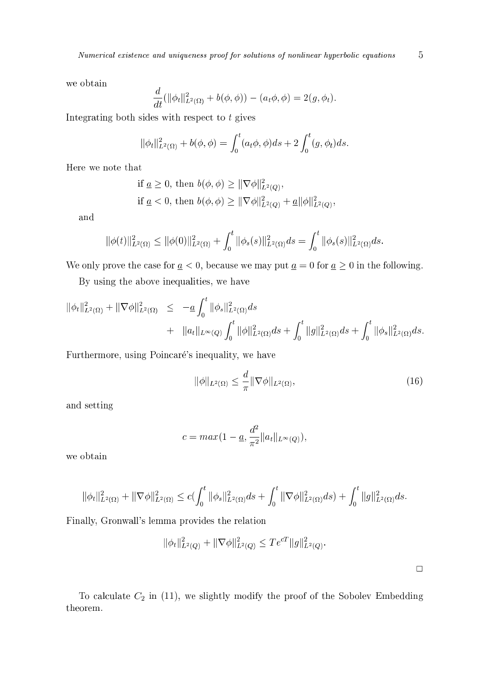we obtain

$$
\frac{d}{dt}(\|\phi_t\|_{L^2(\Omega)}^2 + b(\phi,\phi)) - (a_t\phi,\phi) = 2(g,\phi_t).
$$

Integrating both sides with respect to  $t$  gives

$$
\|\phi_t\|_{L^2(\Omega)}^2 + b(\phi,\phi) = \int_0^t (a_t\phi,\phi)ds + 2\int_0^t (g,\phi_t)ds.
$$

Here we note that

if 
$$
\underline{a} \ge 0
$$
, then  $b(\phi, \phi) \ge ||\nabla \phi||^2_{L^2(Q)}$ ,  
if  $\underline{a} < 0$ , then  $b(\phi, \phi) \ge ||\nabla \phi||^2_{L^2(Q)} + \underline{a}||\phi||^2_{L^2(Q)}$ ,

and

$$
\|\phi(t)\|_{L^2(\Omega)}^2 \le \|\phi(0)\|_{L^2(\Omega)}^2 + \int_0^t \|\phi_s(s)\|_{L^2(\Omega)}^2 ds = \int_0^t \|\phi_s(s)\|_{L^2(\Omega)}^2 ds.
$$

We only prove the case for  $\underline{a} < 0$ , because we may put  $\underline{a} = 0$  for  $\underline{a} \ge 0$  in the following.

By using the above inequalities, we have

$$
\|\phi_t\|_{L^2(\Omega)}^2 + \|\nabla\phi\|_{L^2(\Omega)}^2 \leq -\underline{a} \int_0^t \|\phi_s\|_{L^2(\Omega)}^2 ds + \|a_t\|_{L^\infty(Q)} \int_0^t \|\phi\|_{L^2(\Omega)}^2 ds + \int_0^t \|g\|_{L^2(\Omega)}^2 ds + \int_0^t \|\phi_s\|_{L^2(\Omega)}^2 ds.
$$

Furthermore, using Poincaré's inequality, we have

$$
\|\phi\|_{L^2(\Omega)} \le \frac{d}{\pi} \|\nabla \phi\|_{L^2(\Omega)},\tag{16}
$$

and setting

$$
c = max(1 - \underline{a}, \frac{d^2}{\pi^2} ||a_t||_{L^{\infty}(Q)}),
$$

we obtain

$$
\|\phi_t\|_{L^2(\Omega)}^2 + \|\nabla\phi\|_{L^2(\Omega)}^2 \le c\big(\int_0^t \|\phi_s\|_{L^2(\Omega)}^2 ds + \int_0^t \|\nabla\phi\|_{L^2(\Omega)}^2 ds\big) + \int_0^t \|g\|_{L^2(\Omega)}^2 ds.
$$

Finally, Gronwall's lemma provides the relation

$$
\|\phi_t\|_{L^2(Q)}^2 + \|\nabla\phi\|_{L^2(Q)}^2 \le T e^{cT} \|g\|_{L^2(Q)}^2
$$

 $\Box$ 

To calculate  $C_2$  in (11), we slightly modify the proof of the Sobolev Embedding theorem.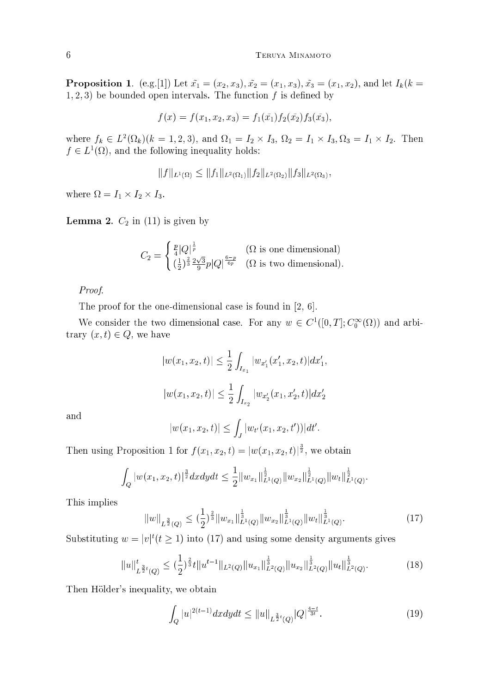**Proposition 1.** (e.g.[1]) Let  $\tilde{x_1} = (x_2, x_3), \tilde{x_2} = (x_1, x_3), \tilde{x_3} = (x_1, x_2),$  and let  $I_k(k = 1)$  $1, 2, 3$ ) be bounded open intervals. The function f is defined by

$$
f(x) = f(x_1, x_2, x_3) = f_1(\tilde{x_1}) f_2(\tilde{x_2}) f_3(\tilde{x_3}),
$$

where  $f_k \in L^2(\Omega_k)$   $\kappa = 1, 2, 3$ , and  $\Omega_1 = I_2 \times I_3$ ,  $\Omega_2 = I_1 \times I_3$ ,  $\Omega_3 = I_1 \times I_2$ . Then  $j \in L$  (12), and the following inequality holds:

$$
||f||_{L^{1}(\Omega)} \leq ||f_1||_{L^{2}(\Omega_1)} ||f_2||_{L^{2}(\Omega_2)} ||f_3||_{L^{2}(\Omega_3)},
$$

where  $\sim$  III  $\sim$  III  $\sim$  III  $\sim$  III  $\sim$  III  $\sim$  III  $\sim$  III  $\sim$  III  $\sim$  III  $\sim$  III  $\sim$  III  $\sim$  III  $\sim$  III  $\sim$  III  $\sim$  III  $\sim$  III  $\sim$  III  $\sim$  III  $\sim$  III  $\sim$  III  $\sim$  III  $\sim$  III  $\sim$  III  $\sim$  III

**Lemma 2.**  $C_2$  in (11) is given by

$$
C_2 = \begin{cases} \frac{p}{4}|Q|^{\frac{1}{p}} & (\Omega \text{ is one dimensional})\\ (\frac{1}{2})^{\frac{2}{3}}\frac{2\sqrt{3}}{9}p|Q|^{\frac{6-p}{6p}} & (\Omega \text{ is two dimensional}). \end{cases}
$$

Proof.

The proof for the one-dimensional case is found in [2, 6].

we consider the two dimensional case. For any  $w \in C$   $(0,1;C_0$  (12)) and arbitrary  $(x, t) \in Q$ , we have

$$
|w(x_1, x_2, t)| \le \frac{1}{2} \int_{I_{x_1}} |w_{x_1'}(x_1', x_2, t)| dx_1',
$$
  

$$
|w(x_1, x_2, t)| \le \frac{1}{2} \int_{I_{x_2}} |w_{x_2'}(x_1, x_2', t)| dx_2'
$$

and

$$
|w(x_1, x_2, t)| \leq \int_J |w_{t'}(x_1, x_2, t'))|dt'.
$$

Then using Proposition 1 for  $f(x_1, x_2, t) = |w(x_1, x_2, t)|^{\frac{1}{2}}$ , we obtain

$$
\int_{Q} |w(x_1, x_2, t)|^{\frac{3}{2}} dx dy dt \leq \frac{1}{2} ||w_{x_1}||_{L^{1}(Q)}^{\frac{1}{2}} ||w_{x_2}||_{L^{1}(Q)}^{\frac{1}{2}} ||w_t||_{L^{1}(Q)}^{\frac{1}{2}}
$$

This implies

$$
||w||_{L^{\frac{3}{2}}(Q)} \le (\frac{1}{2})^{\frac{2}{3}} ||w_{x_1}||_{L^1(Q)}^{\frac{1}{3}} ||w_{x_2}||_{L^1(Q)}^{\frac{1}{3}} ||w_t||_{L^1(Q)}^{\frac{1}{3}}.
$$
\n(17)

Substituting  $w = |v|/(t \ge 1)$  into (17) and using some density arguments gives

$$
||u||_{L^{\frac{3}{2}t}(Q)}^t \le (\frac{1}{2})^{\frac{2}{3}}t||u^{t-1}||_{L^2(Q)}||u_{x_1}||_{L^2(Q)}^{\frac{1}{3}}||u_{x_2}||_{L^2(Q)}^{\frac{1}{3}}||u_t||_{L^2(Q)}^{\frac{1}{3}}.
$$
\n(18)

Then Hölder's inequality, we obtain

$$
\int_{Q} |u|^{2(t-1)} dx dy dt \leq ||u||_{L^{\frac{3}{2}t}(Q)} |Q|^{\frac{4-t}{3t}}.
$$
\n(19)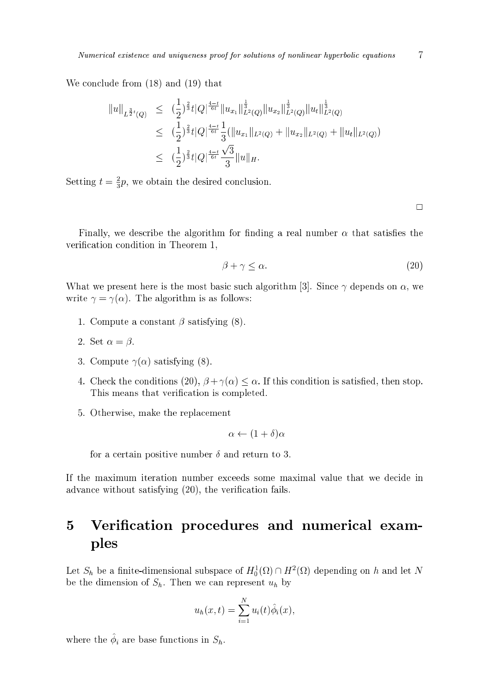We conclude from (18) and (19) that

$$
\|u\|_{L^{\frac{3}{2}t}(Q)} \leq (\frac{1}{2})^{\frac{2}{3}}t|Q|^{\frac{4-t}{6t}}\|u_{x_1}\|_{L^2(Q)}^{\frac{1}{3}}\|u_{x_2}\|_{L^2(Q)}^{\frac{1}{3}}\|u_t\|_{L^2(Q)}^{\frac{1}{3}}
$$
  

$$
\leq (\frac{1}{2})^{\frac{2}{3}}t|Q|^{\frac{4-t}{6t}}\frac{1}{3}(\|u_{x_1}\|_{L^2(Q)} + \|u_{x_2}\|_{L^2(Q)} + \|u_t\|_{L^2(Q)})
$$
  

$$
\leq (\frac{1}{2})^{\frac{2}{3}}t|Q|^{\frac{4-t}{6t}}\frac{\sqrt{3}}{3}\|u\|_H.
$$

Setting  $t = \frac{2}{3}p$ , we obtain the desired conclusion.

 $\Box$ 

Finally, we describe the algorithm for finding a real number  $\alpha$  that satisfies the verification condition in Theorem 1,

$$
\beta + \gamma \le \alpha. \tag{20}
$$

What we present here is the most basic such algorithm [3]. Since  $\gamma$  depends on  $\alpha$ , we write  $\gamma = \gamma(\alpha)$ . The algorithm is as follows:

- 1. Compute a constant  $\beta$  satisfying (8).
- 2. Set  $\alpha = \beta$ .
- 3. Compute  $\gamma(\alpha)$  satisfying (8).
- 4. Check the conditions (20),  $\beta + \gamma(\alpha) \leq \alpha$ . If this condition is satisfied, then stop. This means that verification is completed.
- 5. Otherwise, make the replacement

$$
\alpha \leftarrow (1+\delta)\alpha
$$

for a certain positive number  $\delta$  and return to 3.

If the maximum iteration number exceeds some maximal value that we decide in advance without satisfying  $(20)$ , the verification fails.

## 5 Verification procedures and numerical examples

Let  $S_h$  be a ninte-dimensional subspace of  $H_0(S \ell) \cap H_1(S \ell)$  depending on h and let N be the dimension of  $S_h$ . Then we can represent  $u_h$  by

$$
u_h(x,t) = \sum_{i=1}^N u_i(t)\hat{\phi}_i(x),
$$

where the  $\varphi_i$  are base functions in  $\varphi_h$ .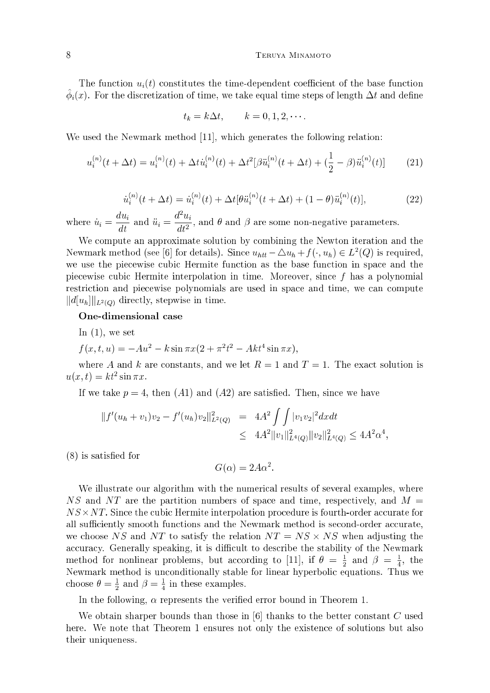#### 8 Teruya Minamoto

The function  $u_i(t)$  constitutes the time-dependent coefficient of the base function  $\varphi_i(x)$ . For the discretization of time, we take equal time steps of length  $\Delta t$  and define

$$
t_k = k\Delta t, \qquad k = 0, 1, 2, \cdots.
$$

We used the Newmark method [11], which generates the following relation:

$$
u_i^{(n)}(t + \Delta t) = u_i^{(n)}(t) + \Delta t \dot{u}_i^{(n)}(t) + \Delta t^2 [\beta \ddot{u}_i^{(n)}(t + \Delta t) + (\frac{1}{2} - \beta) \ddot{u}_i^{(n)}(t)] \tag{21}
$$

$$
\dot{u}_i^{(n)}(t + \Delta t) = \dot{u}_i^{(n)}(t) + \Delta t [\theta \ddot{u}_i^{(n)}(t + \Delta t) + (1 - \theta) \ddot{u}_i^{(n)}(t)],\tag{22}
$$

where  $u = u$ -- -- *1*  $dt$  and unitary  $\ddot{a}$  $u_i$  $dt^2$  , and are some non-negative parameters.

We compute an approximate solution by combining the Newton iteration and the Newmark method (see [6] for details). Since  $u_{htt} - \triangle u_{h} + f(\cdot, u_{h}) \in L^{2}(Q)$  is required, we use the piecewise cubic Hermite function as the base function in space and the piecewise cubic Hermite interpolation in time. Moreover, since f has a polynomial restriction and piecewise polynomials are used in space and time, we can compute  $\mathbb{E}[\mathbb{E}[u]$  and  $\mathbb{E}[u]$  directly, stepwise in time.

#### One-dimensional case

- In  $(1)$ , we set
- $f(x, t, u) = -Au^2 \kappa \sin \pi x (2 + \pi^2 t^2 Akt^2 \sin \pi x),$

where A and k are constants, and we let  $R = 1$  and  $T = 1$ . The exact solution is  $u(x, t) = \kappa t \sin \pi x.$ 

If we take  $p = 4$ , then  $(A1)$  and  $(A2)$  are satisfied. Then, since we have

$$
||f'(u_h + v_1)v_2 - f'(u_h)v_2||_{L^2(Q)}^2 = 4A^2 \int \int |v_1v_2|^2 dx dt
$$
  

$$
\leq 4A^2 ||v_1||_{L^4(Q)}^2 ||v_2||_{L^4(Q)}^2 \leq 4A^2 \alpha^4,
$$

 $(8)$  is satisfied for

$$
G(\alpha) = 2A\alpha^2.
$$

We illustrate our algorithm with the numerical results of several examples, where  $NS$  and  $NT$  are the partition numbers of space and time, respectively, and  $M =$ NS-N T : Since the cubic Hermite interpretation procedure is fourth-order accurate for the cubic Hermite for th all sufficiently smooth functions and the Newmark method is second-order accurate, we choose the show the relations, the relation is the relation and the relation  $\mathbb{R}^n$ accuracy. Generally speaking, it is difficult to describe the stability of the Newmark method for nonlinear problems, but according to [11], if  $\theta = \frac{1}{2}$  and  $\beta = \frac{1}{4}$ , the Newmark method is unconditionally stable for linear hyperbolic equations. Thus we choose  $\theta = \frac{1}{2}$  and  $\beta = \frac{1}{4}$  in these examples.

In the following,  $\alpha$  represents the verified error bound in Theorem 1.

We obtain sharper bounds than those in  $[6]$  thanks to the better constant C used here. We note that Theorem 1 ensures not only the existence of solutions but also their uniqueness.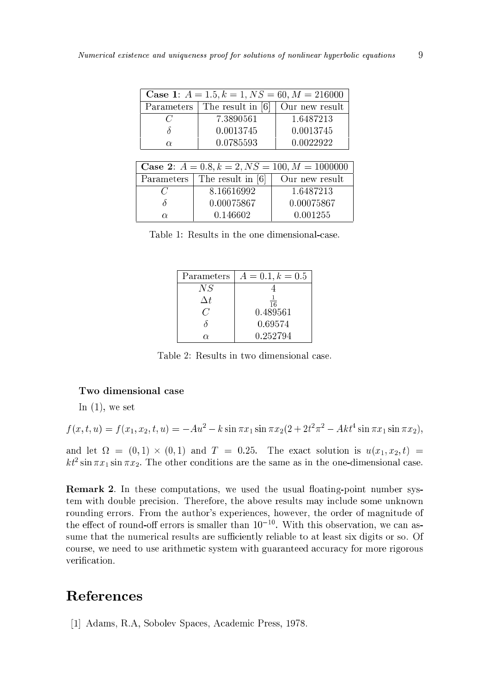| Case 1: $A = 1.5, k = 1, NS = 60, M = 216000$ |                                                   |           |  |
|-----------------------------------------------|---------------------------------------------------|-----------|--|
|                                               | Parameters   The result in $[6]$   Our new result |           |  |
|                                               | 7.3890561                                         | 1.6487213 |  |
|                                               | 0.0013745                                         | 0.0013745 |  |
| $\alpha$                                      | 0.0785593                                         | 0.0022922 |  |

| <b>Case 2:</b> $A = 0.8, k = 2, NS = 100, M = 1000000$ |                                |                |
|--------------------------------------------------------|--------------------------------|----------------|
|                                                        | Parameters   The result in [6] | Our new result |
|                                                        | 8.16616992                     | 1.6487213      |
|                                                        | 0.00075867                     | 0.00075867     |
| 1 Y                                                    | 0.146602                       | 0.001255       |

Table 1: Results in the one dimensional-case.

| Parameters | $A = 0.1, k = 0.5$ |
|------------|--------------------|
| NS         |                    |
| Λt         | $\overline{16}$    |
| r :        | 0.489561           |
|            | 0.69574            |
| r v        | 0.252794           |

Table 2: Results in two dimensional case.

#### Two dimensional case

In  $(1)$ , we set

$$
f(x,t,u) = f(x_1,x_2,t,u) = -Au^2 - k\sin\pi x_1\sin\pi x_2(2+2t^2\pi^2 - Akt^4\sin\pi x_1\sin\pi x_2),
$$

and it is the contract of the exact solution is under the exact solution is under the exact solution is under t  $\kappa$  sin  $\pi x_1$  sin  $\pi x_2$ . The other conditions are the same as in the one-dimensional case.

**Remark 2**. In these computations, we used the usual floating-point number system with double precision. Therefore, the above results may include some unknown rounding errors. From the author's experiences, however, the order of magnitude of the effect of round-off errors is smaller than  $10^{-1}$ . With this observation, we can assume that the numerical results are sufficiently reliable to at least six digits or so. Of course, we need to use arithmetic system with guaranteed accuracy for more rigorous verification.

### References

[1] Adams, R.A, Sobolev Spaces, Academic Press, 1978.